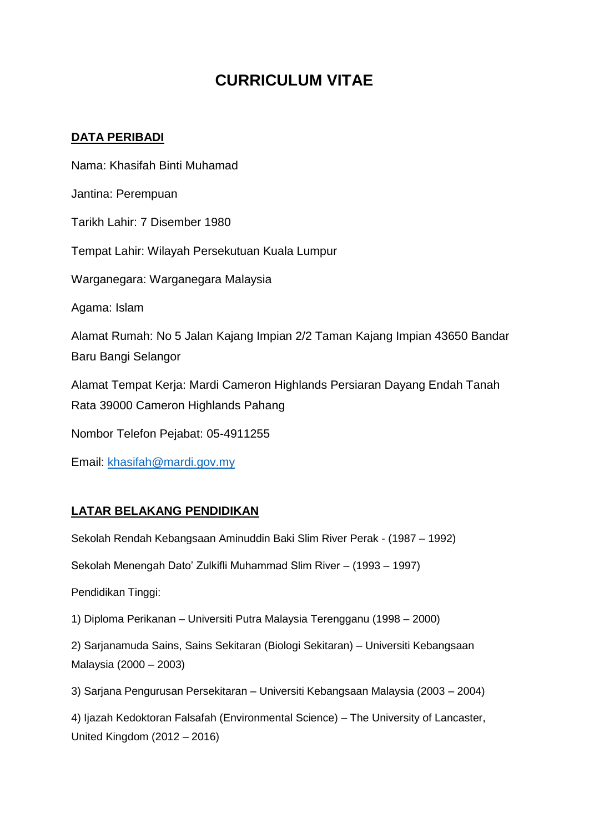# **CURRICULUM VITAE**

### **DATA PERIBADI**

Nama: Khasifah Binti Muhamad Jantina: Perempuan Tarikh Lahir: 7 Disember 1980 Tempat Lahir: Wilayah Persekutuan Kuala Lumpur Warganegara: Warganegara Malaysia Agama: Islam Alamat Rumah: No 5 Jalan Kajang Impian 2/2 Taman Kajang Impian 43650 Bandar Baru Bangi Selangor Alamat Tempat Kerja: Mardi Cameron Highlands Persiaran Dayang Endah Tanah Rata 39000 Cameron Highlands Pahang Nombor Telefon Pejabat: 05-4911255

Email: [khasifah@mardi.gov.my](mailto:khasifah@mardi.gov.my)

# **LATAR BELAKANG PENDIDIKAN**

Sekolah Rendah Kebangsaan Aminuddin Baki Slim River Perak - (1987 – 1992)

Sekolah Menengah Dato' Zulkifli Muhammad Slim River – (1993 – 1997)

Pendidikan Tinggi:

1) Diploma Perikanan – Universiti Putra Malaysia Terengganu (1998 – 2000)

2) Sarjanamuda Sains, Sains Sekitaran (Biologi Sekitaran) – Universiti Kebangsaan Malaysia (2000 – 2003)

3) Sarjana Pengurusan Persekitaran – Universiti Kebangsaan Malaysia (2003 – 2004)

4) Ijazah Kedoktoran Falsafah (Environmental Science) – The University of Lancaster, United Kingdom (2012 – 2016)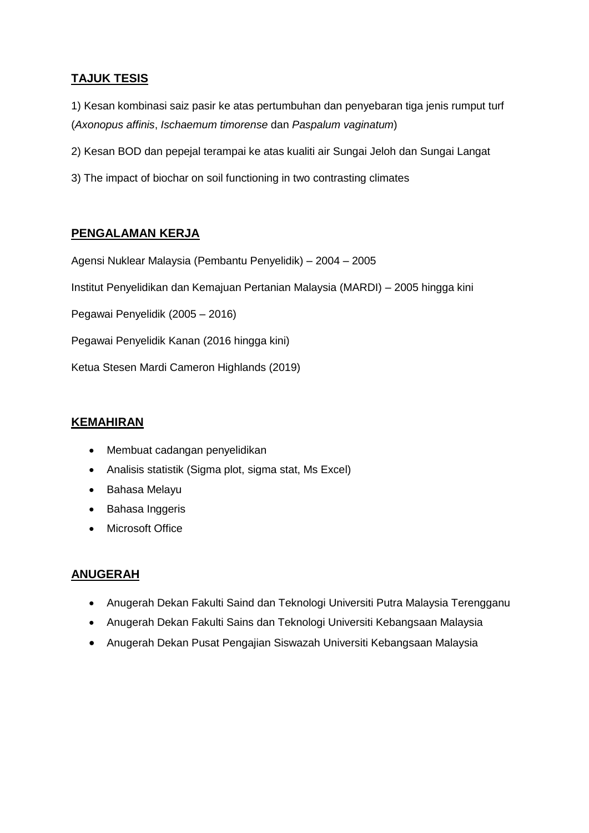## **TAJUK TESIS**

1) Kesan kombinasi saiz pasir ke atas pertumbuhan dan penyebaran tiga jenis rumput turf (*Axonopus affinis*, *Ischaemum timorense* dan *Paspalum vaginatum*)

2) Kesan BOD dan pepejal terampai ke atas kualiti air Sungai Jeloh dan Sungai Langat

3) The impact of biochar on soil functioning in two contrasting climates

## **PENGALAMAN KERJA**

Agensi Nuklear Malaysia (Pembantu Penyelidik) – 2004 – 2005

Institut Penyelidikan dan Kemajuan Pertanian Malaysia (MARDI) – 2005 hingga kini

Pegawai Penyelidik (2005 – 2016)

Pegawai Penyelidik Kanan (2016 hingga kini)

Ketua Stesen Mardi Cameron Highlands (2019)

#### **KEMAHIRAN**

- Membuat cadangan penyelidikan
- Analisis statistik (Sigma plot, sigma stat, Ms Excel)
- Bahasa Melayu
- Bahasa Inggeris
- Microsoft Office

#### **ANUGERAH**

- Anugerah Dekan Fakulti Saind dan Teknologi Universiti Putra Malaysia Terengganu
- Anugerah Dekan Fakulti Sains dan Teknologi Universiti Kebangsaan Malaysia
- Anugerah Dekan Pusat Pengajian Siswazah Universiti Kebangsaan Malaysia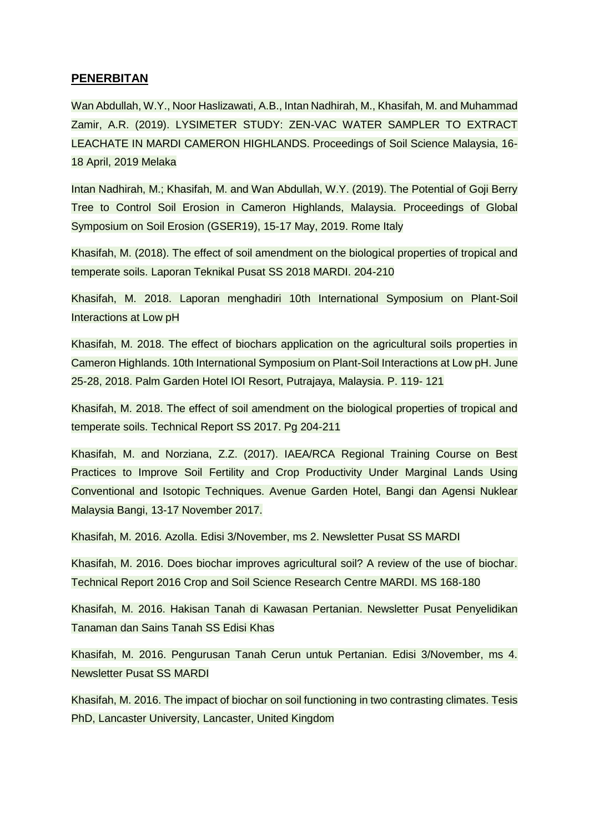#### **PENERBITAN**

Wan Abdullah, W.Y., Noor Haslizawati, A.B., Intan Nadhirah, M., Khasifah, M. and Muhammad Zamir, A.R. (2019). LYSIMETER STUDY: ZEN-VAC WATER SAMPLER TO EXTRACT LEACHATE IN MARDI CAMERON HIGHLANDS. Proceedings of Soil Science Malaysia, 16- 18 April, 2019 Melaka

Intan Nadhirah, M.; Khasifah, M. and Wan Abdullah, W.Y. (2019). The Potential of Goji Berry Tree to Control Soil Erosion in Cameron Highlands, Malaysia. Proceedings of Global Symposium on Soil Erosion (GSER19), 15-17 May, 2019. Rome Italy

Khasifah, M. (2018). The effect of soil amendment on the biological properties of tropical and temperate soils. Laporan Teknikal Pusat SS 2018 MARDI. 204-210

Khasifah, M. 2018. Laporan menghadiri 10th International Symposium on Plant-Soil Interactions at Low pH

Khasifah, M. 2018. The effect of biochars application on the agricultural soils properties in Cameron Highlands. 10th International Symposium on Plant-Soil Interactions at Low pH. June 25-28, 2018. Palm Garden Hotel IOI Resort, Putrajaya, Malaysia. P. 119- 121

Khasifah, M. 2018. The effect of soil amendment on the biological properties of tropical and temperate soils. Technical Report SS 2017. Pg 204-211

Khasifah, M. and Norziana, Z.Z. (2017). IAEA/RCA Regional Training Course on Best Practices to Improve Soil Fertility and Crop Productivity Under Marginal Lands Using Conventional and Isotopic Techniques. Avenue Garden Hotel, Bangi dan Agensi Nuklear Malaysia Bangi, 13-17 November 2017.

Khasifah, M. 2016. Azolla. Edisi 3/November, ms 2. Newsletter Pusat SS MARDI

Khasifah, M. 2016. Does biochar improves agricultural soil? A review of the use of biochar. Technical Report 2016 Crop and Soil Science Research Centre MARDI. MS 168-180

Khasifah, M. 2016. Hakisan Tanah di Kawasan Pertanian. Newsletter Pusat Penyelidikan Tanaman dan Sains Tanah SS Edisi Khas

Khasifah, M. 2016. Pengurusan Tanah Cerun untuk Pertanian. Edisi 3/November, ms 4. Newsletter Pusat SS MARDI

Khasifah, M. 2016. The impact of biochar on soil functioning in two contrasting climates. Tesis PhD, Lancaster University, Lancaster, United Kingdom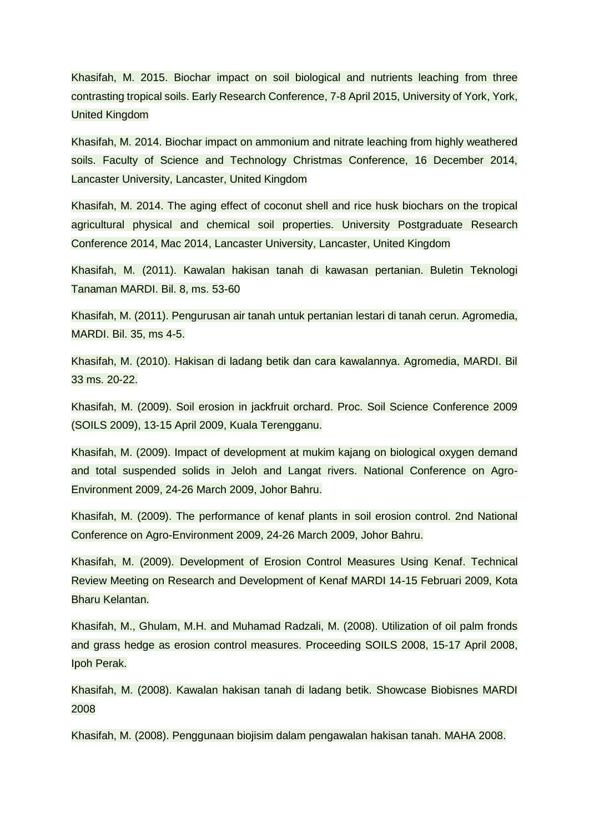Khasifah, M. 2015. Biochar impact on soil biological and nutrients leaching from three contrasting tropical soils. Early Research Conference, 7-8 April 2015, University of York, York, United Kingdom

Khasifah, M. 2014. Biochar impact on ammonium and nitrate leaching from highly weathered soils. Faculty of Science and Technology Christmas Conference, 16 December 2014, Lancaster University, Lancaster, United Kingdom

Khasifah, M. 2014. The aging effect of coconut shell and rice husk biochars on the tropical agricultural physical and chemical soil properties. University Postgraduate Research Conference 2014, Mac 2014, Lancaster University, Lancaster, United Kingdom

Khasifah, M. (2011). Kawalan hakisan tanah di kawasan pertanian. Buletin Teknologi Tanaman MARDI. Bil. 8, ms. 53-60

Khasifah, M. (2011). Pengurusan air tanah untuk pertanian lestari di tanah cerun. Agromedia, MARDI. Bil. 35, ms 4-5.

Khasifah, M. (2010). Hakisan di ladang betik dan cara kawalannya. Agromedia, MARDI. Bil 33 ms. 20-22.

Khasifah, M. (2009). Soil erosion in jackfruit orchard. Proc. Soil Science Conference 2009 (SOILS 2009), 13-15 April 2009, Kuala Terengganu.

Khasifah, M. (2009). Impact of development at mukim kajang on biological oxygen demand and total suspended solids in Jeloh and Langat rivers. National Conference on Agro-Environment 2009, 24-26 March 2009, Johor Bahru.

Khasifah, M. (2009). The performance of kenaf plants in soil erosion control. 2nd National Conference on Agro-Environment 2009, 24-26 March 2009, Johor Bahru.

Khasifah, M. (2009). Development of Erosion Control Measures Using Kenaf. Technical Review Meeting on Research and Development of Kenaf MARDI 14-15 Februari 2009, Kota Bharu Kelantan.

Khasifah, M., Ghulam, M.H. and Muhamad Radzali, M. (2008). Utilization of oil palm fronds and grass hedge as erosion control measures. Proceeding SOILS 2008, 15-17 April 2008, Ipoh Perak.

Khasifah, M. (2008). Kawalan hakisan tanah di ladang betik. Showcase Biobisnes MARDI 2008

Khasifah, M. (2008). Penggunaan biojisim dalam pengawalan hakisan tanah. MAHA 2008.